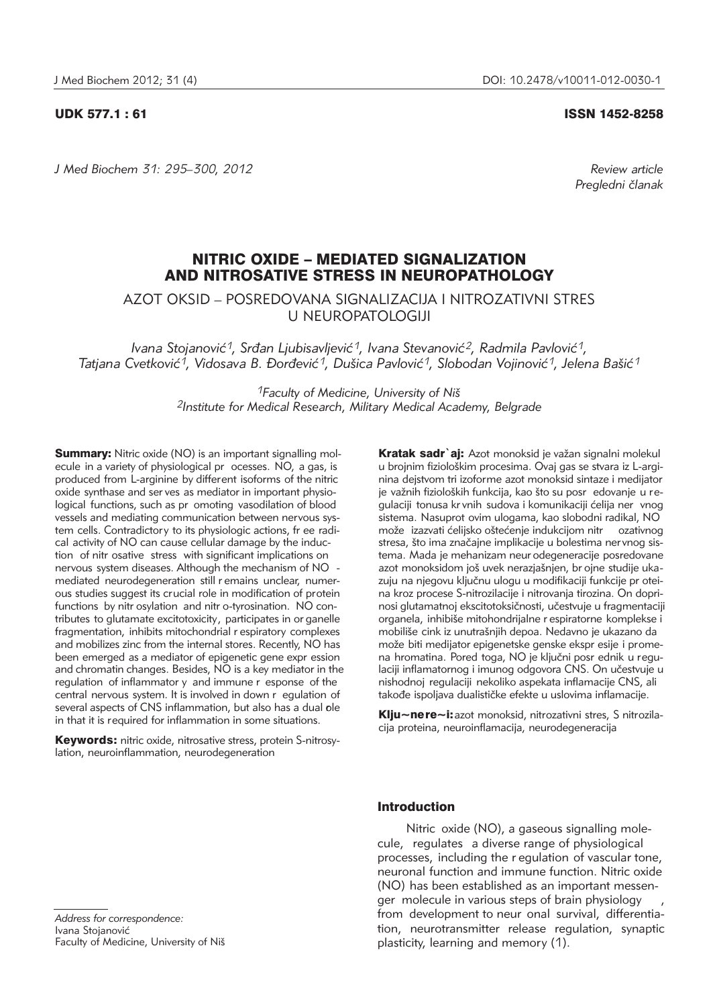*J Med Biochem 31: 295–300, 2012 Review article*

UDK 577.1 : 61 ISSN 1452-8258

*Pregledni ~lanak*

# NITRIC OXIDE – MEDIATED SIGNALIZATION AND NITROSATIVE STRESS IN NEUROPATHOLOGY

AZOT OKSID – POSREDOVANA SIGNALIZACIJA I NITROZATIVNI STRES U NEUROPATOLOGIJI

*Ivana Stojanović<sup>1</sup>, Srđan Ljubisavljević<sup>1</sup>, Ivana Stevanović<sup>2</sup>, Radmila Pavlović<sup>1</sup>,* Tatjana Cvetković<sup>1</sup>, Vidosava B. Đorđević<sup>1</sup>, Dušica Pavlović<sup>1</sup>, Slobodan Vojinović<sup>1</sup>, Jelena Bašić<sup>1</sup>

> *1Faculty of Medicine, University of Ni{ 2Institute for Medical Research, Military Medical Academy, Belgrade*

**Summary:** Nitric oxide (NO) is an important signalling molecule in a variety of physiological pr ocesses. NO, a gas, is produced from L-arginine by different isoforms of the nitric oxide synthase and ser ves as mediator in important physiological functions, such as pr omoting vasodilation of blood vessels and mediating communication between nervous system cells. Contradictory to its physiologic actions, fr ee radical activity of NO can cause cellular damage by the induction of nitr osative stress with significant implications on nervous system diseases. Although the mechanism of NO mediated neurodegeneration still r emains unclear, numerous studies suggest its crucial role in modification of protein functions by nitr osylation and nitr o-tyrosination. NO contributes to glutamate excitotoxicity, participates in or ganelle fragmentation, inhibits mitochondrial r espiratory complexes and mobilizes zinc from the internal stores. Recently, NO has been emerged as a mediator of epigenetic gene expr ession and chromatin changes. Besides, NO is a key mediator in the regulation of inflammator y and immune r esponse of the central nervous system. It is involved in down r egulation of several aspects of CNS inflammation, but also has a dual ole in that it is required for inflammation in some situations.

Keywords: nitric oxide, nitrosative stress, protein S-nitrosylation, neuroinflammation, neurodegeneration

Kratak sadr`ai: Azot monoksid je važan signalni molekul u brojnim fiziološkim procesima. Ovaj gas se stvara iz L-arginina dejstvom tri izoforme azot monoksid sintaze i medijator je važnih fizioloških funkcija, kao što su posr edovanje u regulaciji tonusa kr vnih sudova i komunikaciji ćelija ner vnog sistema. Nasuprot ovim ulogama, kao slobodni radikal, NO može izazvati ćelijsko oštećenje indukcijom nitr ozativnog stresa, što ima značajne implikacije u bolestima nervnog sistema. Mada je mehanizam neur odegeneracije posredovane azot monoksidom još uvek nerazjašnjen, br ojne studije ukazuju na njegovu ključnu ulogu u modifikaciji funkcije pr oteina kroz procese S-nitrozilacije i nitrovanja tirozina. On doprinosi glutamatnoj ekscitotoksičnosti, učestvuje u fragmentaciji organela, inhibiše mitohondrijalne r espiratorne komplekse i mobiliše cink iz unutrašnjih depoa. Nedavno je ukazano da može biti medijator epigenetske genske ekspr esije i promena hromatina. Pored toga, NO je ključni posr ednik u regulaciji inflamatornog i imunog odgovora CNS. On učestvuje u nishodnoj regulaciji nekoliko aspekata inflamacije CNS, ali takođe ispoljava dualističke efekte u uslovima inflamacije.

Klju~ne re~i: azot monoksid, nitrozativni stres, S nitrozilacija proteina, neuroinflamacija, neurodegeneracija

## Introduction

Nitric oxide (NO), a gaseous signalling molecule, regulates a diverse range of physiological processes, including the r egulation of vascular tone, neuronal function and immune function. Nitric oxide (NO) has been established as an important messenger molecule in various steps of brain physiology from development to neur onal survival, differentiation, neurotransmitter release regulation, synaptic plasticity, learning and memory (1).

*Address for correspondence:* Ivana Stojanović Faculty of Medicine, University of Niš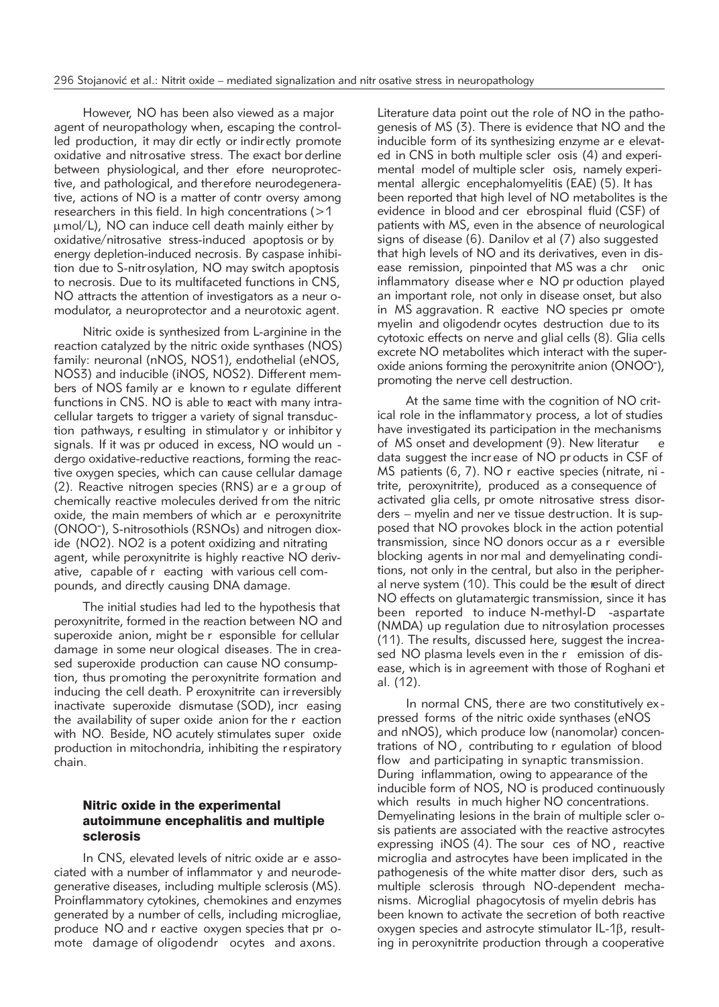However, NO has been also viewed as a major agent of neuropathology when, escaping the controlled production, it may dir ectly or indir ectly promote oxidative and nitrosative stress. The exact bor derline between physiological, and ther efore neuroprotective, and pathological, and therefore neurodegenerative, actions of NO is a matter of contr oversy among researchers in this field. In high concentrations  $(>1$ mmol/L), NO can induce cell death mainly either by oxidative/nitrosative stress-induced apoptosis or by energy depletion-induced necrosis. By caspase inhibition due to S-nitrosylation, NO may switch apoptosis to necrosis. Due to its multifaceted functions in CNS, NO attracts the attention of investigators as a neur omodulator, a neuroprotector and a neurotoxic agent.

Nitric oxide is synthesized from L-arginine in the reaction catalyzed by the nitric oxide synthases (NOS) family: neuronal (nNOS, NOS1), endothelial (eNOS, NOS3) and inducible (iNOS, NOS2). Different members of NOS family ar e known to r egulate different functions in CNS. NO is able to react with many intracellular targets to trigger a variety of signal transduction pathways, r esulting in stimulator y or inhibitor y signals. If it was pr oduced in excess, NO would un dergo oxidative-reductive reactions, forming the reactive oxygen species, which can cause cellular damage (2). Reactive nitrogen species (RNS) ar e a group of chemically reactive molecules derived fr om the nitric oxide, the main members of which ar e peroxynitrite (ONOO- ), S-nitrosothiols (RSNOs) and nitrogen dioxide (NO2). NO2 is a potent oxidizing and nitrating agent, while peroxynitrite is highly reactive NO derivative, capable of r eacting with various cell compounds, and directly causing DNA damage.

The initial studies had led to the hypothesis that peroxynitrite, formed in the reaction between NO and superoxide anion, might be r esponsible for cellular damage in some neur ological diseases. The in creased superoxide production can cause NO consumption, thus promoting the peroxynitrite formation and inducing the cell death. P eroxynitrite can irreversibly inactivate superoxide dismutase (SOD), incr easing the availability of super oxide anion for the r eaction with NO. Beside, NO acutely stimulates super oxide production in mitochondria, inhibiting the r espiratory chain.

## Nitric oxide in the experimental autoimmune encephalitis and multiple sclerosis

In CNS, elevated levels of nitric oxide ar e associated with a number of inflammator y and neurodegenerative diseases, including multiple sclerosis (MS). Proinflammatory cytokines, chemokines and enzymes generated by a number of cells, including microgliae, produce NO and r eactive oxygen species that pr omote damage of oligodendr ocytes and axons.

Literature data point out the role of NO in the pathogenesis of MS (3). There is evidence that NO and the inducible form of its synthesizing enzyme ar e elevated in CNS in both multiple scler osis (4) and experimental model of multiple scler osis, namely experimental allergic encephalomyelitis (EAE) (5). It has been reported that high level of NO metabolites is the evidence in blood and cer ebrospinal fluid (CSF) of patients with MS, even in the absence of neurological signs of disease (6). Danilov et al (7) also suggested that high levels of NO and its derivatives, even in disease remission, pinpointed that MS was a chr onic inflammatory disease wher e NO pr oduction played an important role, not only in disease onset, but also in MS aggravation. R eactive NO species pr omote myelin and oligodendr ocytes destruction due to its cytotoxic effects on nerve and glial cells (8). Glia cells excrete NO metabolites which interact with the superoxide anions forming the peroxynitrite anion (ONOO- ), promoting the nerve cell destruction.

At the same time with the cognition of NO critical role in the inflammator y process, a lot of studies have investigated its participation in the mechanisms of MS onset and development (9). New literatur e data suggest the incr ease of NO pr oducts in CSF of MS patients (6, 7). NO r eactive species (nitrate, ni trite, peroxynitrite), produced as a consequence of activated glia cells, pr omote nitrosative stress disorders – myelin and ner ve tissue destruction. It is supposed that NO provokes block in the action potential transmission, since NO donors occur as a r eversible blocking agents in nor mal and demyelinating conditions, not only in the central, but also in the peripheral nerve system (10). This could be the result of direct NO effects on glutamatergic transmission, since it has been reported to induce N-methyl-D -aspartate (NMDA) up regulation due to nitrosylation processes (11). The results, discussed here, suggest the increased NO plasma levels even in the r emission of disease, which is in agreement with those of Roghani et al. (12).

In normal CNS, there are two constitutively ex pressed forms of the nitric oxide synthases (eNOS and nNOS), which produce low (nanomolar) concentrations of NO , contributing to r egulation of blood flow and participating in synaptic transmission. During inflammation, owing to appearance of the inducible form of NOS, NO is produced continuously which results in much higher NO concentrations. Demyelinating lesions in the brain of multiple scler osis patients are associated with the reactive astrocytes expressing iNOS (4). The sour ces of NO , reactive microglia and astrocytes have been implicated in the pathogenesis of the white matter disor ders, such as multiple sclerosis through NO-dependent mechanisms. Microglial phagocytosis of myelin debris has been known to activate the secretion of both reactive oxygen species and astrocyte stimulator  $IL-1\beta$ , resulting in peroxynitrite production through a cooperative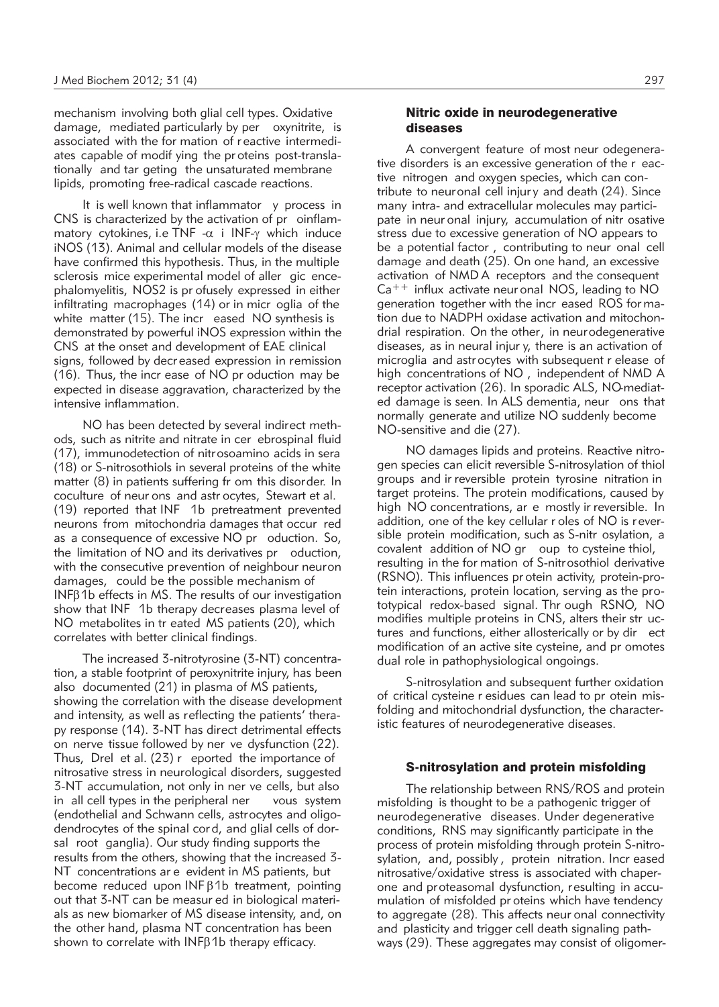mechanism involving both glial cell types. Oxidative damage, mediated particularly by per oxynitrite, is associated with the for mation of reactive intermediates capable of modif ying the pr oteins post-translationally and tar geting the unsaturated membrane lipids, promoting free-radical cascade reactions.

It is well known that inflammator y process in CNS is characterized by the activation of pr oinflammatory cytokines, i.e TNF - $\alpha$  i INF- $\gamma$  which induce iNOS (13). Animal and cellular models of the disease have confirmed this hypothesis. Thus, in the multiple sclerosis mice experimental model of aller gic encephalomyelitis, NOS2 is pr ofusely expressed in either infiltrating macrophages (14) or in micr oglia of the white matter (15). The incr eased NO synthesis is demonstrated by powerful iNOS expression within the CNS at the onset and development of EAE clinical signs, followed by decr eased expression in remission (16). Thus, the incr ease of NO pr oduction may be expected in disease aggravation, characterized by the intensive inflammation.

NO has been detected by several indirect methods, such as nitrite and nitrate in cer ebrospinal fluid (17), immunodetection of nitrosoamino acids in sera (18) or S-nitrosothiols in several proteins of the white matter (8) in patients suffering fr om this disorder. In coculture of neur ons and astr ocytes, Stewart et al. (19) reported that INF 1b pretreatment prevented neurons from mitochondria damages that occur red as a consequence of excessive NO pr oduction. So, the limitation of NO and its derivatives pr oduction, with the consecutive prevention of neighbour neuron damages, could be the possible mechanism of  $INFB1b$  effects in MS. The results of our investigation show that INF 1b therapy decreases plasma level of NO metabolites in tr eated MS patients (20), which correlates with better clinical findings.

The increased 3-nitrotyrosine (3-NT) concentration, a stable footprint of peroxynitrite injury, has been also documented (21) in plasma of MS patients, showing the correlation with the disease development and intensity, as well as reflecting the patients' therapy response (14). 3-NT has direct detrimental effects on nerve tissue followed by ner ve dysfunction (22). Thus, Drel et al. (23) r eported the importance of nitrosative stress in neurological disorders, suggested 3-NT accumulation, not only in ner ve cells, but also in all cell types in the peripheral ner vous system (endothelial and Schwann cells, astrocytes and oligodendrocytes of the spinal cor d, and glial cells of dorsal root ganglia). Our study finding supports the results from the others, showing that the increased 3- NT concentrations ar e evident in MS patients, but become reduced upon  $INF\beta1b$  treatment, pointing out that 3-NT can be measur ed in biological materials as new biomarker of MS disease intensity, and, on the other hand, plasma NT concentration has been shown to correlate with  $INF\beta1b$  therapy efficacy.

## Nitric oxide in neurodegenerative diseases

A convergent feature of most neur odegenerative disorders is an excessive generation of the r eactive nitrogen and oxygen species, which can contribute to neuronal cell injury and death (24). Since many intra- and extracellular molecules may participate in neur onal injury, accumulation of nitr osative stress due to excessive generation of NO appears to be a potential factor , contributing to neur onal cell damage and death (25). On one hand, an excessive activation of NMD A receptors and the consequent  $Ca^{++}$  influx activate neur onal NOS, leading to NO generation together with the incr eased ROS for mation due to NADPH oxidase activation and mitochondrial respiration. On the other, in neurodegenerative diseases, as in neural injur y, there is an activation of microglia and astr ocytes with subsequent r elease of high concentrations of NO , independent of NMD A receptor activation (26). In sporadic ALS, NO-mediated damage is seen. In ALS dementia, neur ons that normally generate and utilize NO suddenly become NO-sensitive and die (27).

NO damages lipids and proteins. Reactive nitrogen species can elicit reversible S-nitrosylation of thiol groups and ir reversible protein tyrosine nitration in target proteins. The protein modifications, caused by high NO concentrations, ar e mostly ir reversible. In addition, one of the key cellular r oles of NO is reversible protein modification, such as S-nitr osylation, a covalent addition of NO gr oup to cysteine thiol, resulting in the for mation of S-nitrosothiol derivative (RSNO). This influences pr otein activity, protein-protein interactions, protein location, serving as the prototypical redox-based signal. Thr ough RSNO, NO modifies multiple proteins in CNS, alters their str uctures and functions, either allosterically or by dir ect modification of an active site cysteine, and pr omotes dual role in pathophysiological ongoings.

S-nitrosylation and subsequent further oxidation of critical cysteine r esidues can lead to pr otein misfolding and mitochondrial dysfunction, the characteristic features of neurodegenerative diseases.

#### S-nitrosylation and protein misfolding

The relationship between RNS/ROS and protein misfolding is thought to be a pathogenic trigger of neurodegenerative diseases. Under degenerative conditions, RNS may significantly participate in the process of protein misfolding through protein S-nitrosylation, and, possibly , protein nitration. Incr eased nitrosative/oxidative stress is associated with chaperone and proteasomal dysfunction, resulting in accumulation of misfolded pr oteins which have tendency to aggregate (28). This affects neur onal connectivity and plasticity and trigger cell death signaling pathways (29). These aggregates may consist of oligomer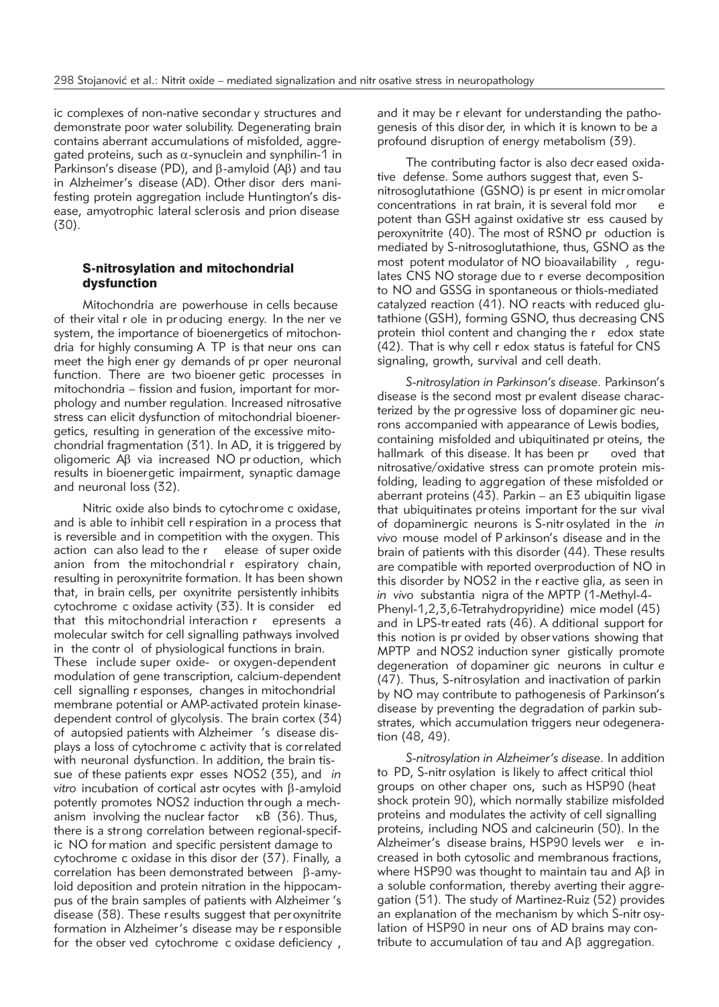ic complexes of non-native secondar y structures and demonstrate poor water solubility. Degenerating brain contains aberrant accumulations of misfolded, aggregated proteins, such as  $\alpha$ -synuclein and synphilin-1 in Parkinson's disease (PD), and  $\beta$ -amyloid (A $\beta$ ) and tau in Alzheimer's disease (AD). Other disor ders manifesting protein aggregation include Huntington's disease, amyotrophic lateral sclerosis and prion disease (30).

## S-nitrosylation and mitochondrial dysfunction

Mitochondria are powerhouse in cells because of their vital r ole in pr oducing energy. In the ner ve system, the importance of bioenergetics of mitochondria for highly consuming A TP is that neur ons can meet the high ener gy demands of pr oper neuronal function. There are two bioener getic processes in mitochondria – fission and fusion, important for morphology and number regulation. Increased nitrosative stress can elicit dysfunction of mitochondrial bioenergetics, resulting in generation of the excessive mitochondrial fragmentation (31). In AD, it is triggered by oligomeric Ab via increased NO pr oduction, which results in bioenergetic impairment, synaptic damage and neuronal loss (32).

Nitric oxide also binds to cytochrome c oxidase, and is able to inhibit cell r espiration in a process that is reversible and in competition with the oxygen. This action can also lead to the r elease of super oxide anion from the mitochondrial r espiratory chain, resulting in peroxynitrite formation. It has been shown that, in brain cells, per oxynitrite persistently inhibits cytochrome c oxidase activity (33). It is consider ed that this mitochondrial interaction r epresents a molecular switch for cell signalling pathways involved in the contr ol of physiological functions in brain. These include super oxide- or oxygen-dependent modulation of gene transcription, calcium-dependent cell signalling r esponses, changes in mitochondrial membrane potential or AMP-activated protein kinasedependent control of glycolysis. The brain cortex (34) of autopsied patients with Alzheimer 's disease displays a loss of cytochrome c activity that is correlated with neuronal dysfunction. In addition, the brain tissue of these patients expr esses NOS2 (35), and *in* vitro incubation of cortical astr ocytes with B-amyloid potently promotes NOS2 induction thr ough a mechanism involving the nuclear factor  $\kappa$ B (36). Thus, there is a strong correlation between regional-specific NO for mation and specific persistent damage to cytochrome c oxidase in this disor der (37). Finally, a correlation has been demonstrated between  $\beta$ -amyloid deposition and protein nitration in the hippocampus of the brain samples of patients with Alzheimer 's disease (38). These r esults suggest that per oxynitrite formation in Alzheimer's disease may be r esponsible for the obser ved cytochrome c oxidase deficiency ,

and it may be r elevant for understanding the pathogenesis of this disor der, in which it is known to be a profound disruption of energy metabolism (39).

The contributing factor is also decr eased oxidative defense. Some authors suggest that, even Snitrosoglutathione (GSNO) is pr esent in micr omolar concentrations in rat brain, it is several fold mor potent than GSH against oxidative str ess caused by peroxynitrite (40). The most of RSNO pr oduction is mediated by S-nitrosoglutathione, thus, GSNO as the most potent modulator of NO bioavailability , regulates CNS NO storage due to r everse decomposition to NO and GSSG in spontaneous or thiols-mediated catalyzed reaction (41). NO reacts with reduced glutathione (GSH), forming GSNO, thus decreasing CNS protein thiol content and changing the r edox state (42). That is why cell r edox status is fateful for CNS signaling, growth, survival and cell death.

S-nitrosylation in Parkinson's disease. Parkinson's disease is the second most pr evalent disease characterized by the pr ogressive loss of dopaminer gic neurons accompanied with appearance of Lewis bodies, containing misfolded and ubiquitinated pr oteins, the hallmark of this disease. It has been pr oved that nitrosative/oxidative stress can promote protein misfolding, leading to aggregation of these misfolded or aberrant proteins (43). Parkin – an E3 ubiquitin ligase that ubiquitinates proteins important for the sur vival of dopaminergic neurons is S-nitr osylated in the *in vivo* mouse model of P arkinson's disease and in the brain of patients with this disorder (44). These results are compatible with reported overproduction of NO in this disorder by NOS2 in the r eactive glia, as seen in *in vivo* substantia nigra of the MPTP (1-Methyl-4- Phenyl-1,2,3,6-Tetrahydropyridine) mice model (45) and in LPS-tr eated rats (46). A dditional support for this notion is pr ovided by obser vations showing that MPTP and NOS2 induction syner gistically promote degeneration of dopaminer gic neurons in cultur e (47). Thus, S-nitrosylation and inactivation of parkin by NO may contribute to pathogenesis of Parkinson's disease by preventing the degradation of parkin substrates, which accumulation triggers neur odegeneration (48, 49).

*S-nitrosylation in Alzheimer's disease.* In addition to PD, S-nitr osylation is likely to affect critical thiol groups on other chaper ons, such as HSP90 (heat shock protein 90), which normally stabilize misfolded proteins and modulates the activity of cell signalling proteins, including NOS and calcineurin (50). In the Alzheimer's disease brains, HSP90 levels wer e increased in both cytosolic and membranous fractions, where HSP90 was thought to maintain tau and  $\mathsf{A}\beta$  in a soluble conformation, thereby averting their aggregation (51). The study of Martinez-Ruiz (52) provides an explanation of the mechanism by which S-nitr osylation of HSP90 in neur ons of AD brains may contribute to accumulation of tau and  $\mathsf{A}\beta$  aggregation.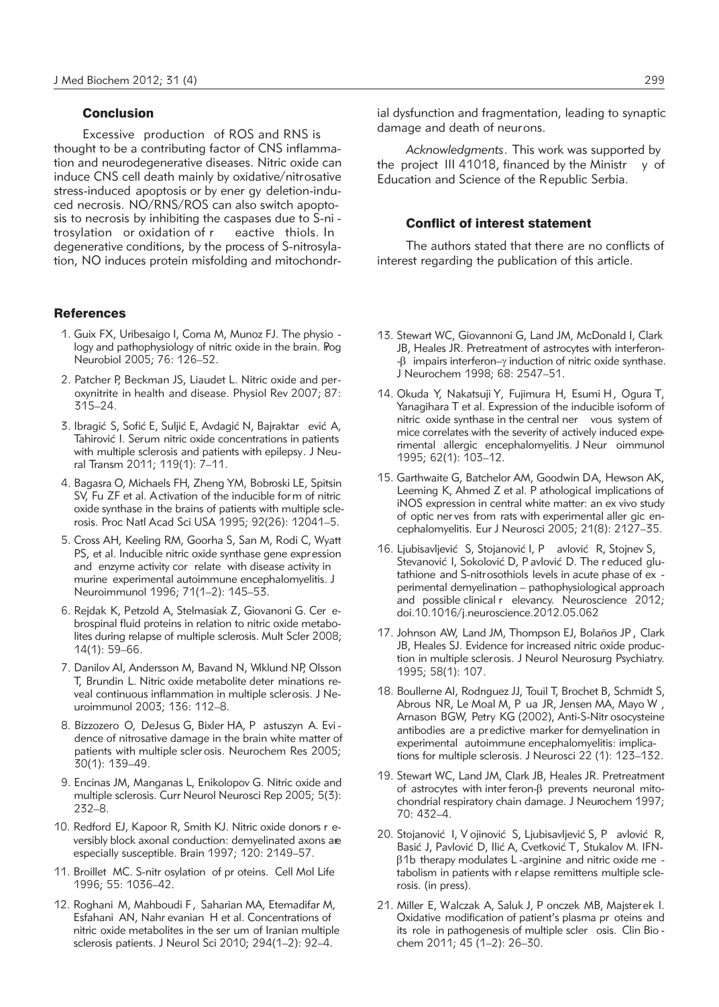### Conclusion

Excessive production of ROS and RNS is thought to be a contributing factor of CNS inflammation and neurodegenerative diseases. Nitric oxide can induce CNS cell death mainly by oxidative/nitrosative stress-induced apoptosis or by ener gy deletion-induced necrosis. NO/RNS/ROS can also switch apoptosis to necrosis by inhibiting the caspases due to S-ni tro sylation or oxidation of r eactive thiols. In degenerative conditions, by the process of S-nitrosylation, NO induces protein misfolding and mitochondr-

### **References**

- 1. Guix FX, Uribesaigo I, Coma M, Munoz FJ. The physio logy and pathophysiology of nitric oxide in the brain. Pog Neurobiol 2005; 76: 126–52.
- 2. Patcher P, Beckman JS, Liaudet L. Nitric oxide and per oxynitrite in health and disease. Physiol Rev 2007; 87: 315–24.
- 3. Ibragić S, Sofić E, Suljić E, Avdagić N, Bajraktar ević A, Tahirović I. Serum nitric oxide concentrations in patients with multiple sclerosis and patients with epilepsy. J Neural Transm 2011; 119(1): 7–11.
- 4. Bagasra O, Michaels FH, Zheng YM, Bobroski LE, Spitsin SV, Fu ZF et al. Activation of the inducible form of nitric oxide synthase in the brains of patients with multiple sclerosis. Proc Natl Acad Sci USA 1995; 92(26): 12041–5.
- 5. Cross AH, Keeling RM, Goorha S, San M, Rodi C, Wyatt PS, et al. Inducible nitric oxide synthase gene expression and enzyme activity cor relate with disease activity in murine experimental autoimmune encephalomyelitis. J Neuroimmunol 1996; 71(1–2): 145–53.
- 6. Rejdak K, Petzold A, Stelmasiak Z, Giovanoni G. Cer e brospinal fluid proteins in relation to nitric oxide metabolites during relapse of multiple sclerosis. Mult Scler 2008; 14(1): 59–66.
- 7. Danilov AI, Andersson M, Bavand N, Wiklund NP, Olsson T, Brundin L. Nitric oxide metabolite deter minations re veal continuous inflammation in multiple sclerosis. J Ne uroimmunol 2003; 136: 112-8.
- 8. Bizzozero O, DeJesus G, Bixler HA, P astuszyn A. Evi dence of nitrosative damage in the brain white matter of patients with multiple scler osis. Neurochem Res 2005; 30(1): 139–49.
- 9. Encinas JM, Manganas L, Enikolopov G. Nitric oxide and multiple sclerosis. Curr Neurol Neurosci Rep 2005; 5(3): 232–8.
- 10. Redford EJ, Kapoor R, Smith KJ. Nitric oxide donors r eversibly block axonal conduction: demyelinated axons are especially susceptible. Brain 1997; 120: 2149–57.
- 11. Broillet MC. S-nitr osylation of pr oteins. Cell Mol Life 1996; 55: 1036–42.
- 12. Roghani M, Mahboudi F, Saharian MA, Etemadifar M, Esfahani AN, Nahr evanian H et al. Concentrations of nitric oxide metabolites in the ser um of Iranian multiple sclerosis patients. J Neurol Sci 2010; 294(1–2): 92–4.

ial dysfunction and fragmentation, leading to synaptic damage and death of neurons.

*Acknowledgments*. This work was supported by the project III 41018, financed by the Ministr y of Education and Science of the Republic Serbia.

#### Conflict of interest statement

The authors stated that there are no conflicts of interest regarding the publication of this article.

- 13. Stewart WC, Giovannoni G, Land JM, McDonald I, Clark JB, Heales JR. Pretreatment of astrocytes with interferon-  $- \beta$  impairs interferon– $\gamma$  induction of nitric oxide synthase. J Neurochem 1998; 68: 2547–51.
- 14. Okuda Y, Nakatsuji Y, Fujimura H, Esumi H, Ogura T, Yanagihara T et al. Expression of the inducible isoform of nitric oxide synthase in the central ner vous system of mice correlates with the severity of actively induced experimental allergic encephalomyelitis. J Neur oimmunol 1995; 62(1): 103–12.
- 15. Garthwaite G, Batchelor AM, Goodwin DA, Hewson AK, Leeming K, Ahmed Z et al. P athological implications of iNOS expression in central white matter: an ex vivo study of optic ner ves from rats with experimental aller gic encephalomyelitis. Eur J Neurosci 2005; 21(8): 2127–35.
- 16. Ljubisavljević S, Stojanović I, P avlović R, Stojnev S, Stevanović I, Sokolović D, P avlović D. The r educed glutathione and S-nitrosothiols levels in acute phase of ex perimental demyelination – pathophysiological approach and possible clinical r elevancy. Neuroscience 2012; doi.10.1016/j.neuroscience.2012.05.062
- 17. Johnson AW, Land JM, Thompson EJ, Bolaños JP , Clark JB, Heales SJ. Evidence for increased nitric oxide production in multiple sclerosis. J Neurol Neurosurg Psychiatry. 1995; 58(1): 107.
- 18. Boullerne AI, Rodrıguez JJ, Touil T, Brochet B, Schmidt S, Abrous NR, Le Moal M, P ua JR, Jensen MA, Mayo W , Arnason BGW, Petry KG (2002), Anti-S-Nitr osocysteine antibodies are a predictive marker for demyelination in experimental autoimmune encephalomyelitis: implications for multiple sclerosis. J Neurosci 22 (1): 123–132.
- 19. Stewart WC, Land JM, Clark JB, Heales JR. Pretreatment of astrocytes with inter feron- $\beta$  prevents neuronal mitochondrial respiratory chain damage. J Neurochem 1997; 70: 432–4.
- 20. Stojanović I, V ojinović S, Ljubisavljević S, P avlović R, Basić J, Pavlović D, Ilić A, Cvetković T, Stukalov M. IFN- $\beta$ 1b therapy modulates L-arginine and nitric oxide me tabolism in patients with r elapse remittens multiple sclerosis. (in press).
- 21. Miller E, Walczak A, Saluk J, P onczek MB, Majsterek I. Oxidative modification of patient's plasma pr oteins and its role in pathogenesis of multiple scler osis. Clin Bio chem 2011; 45 (1–2): 26–30.